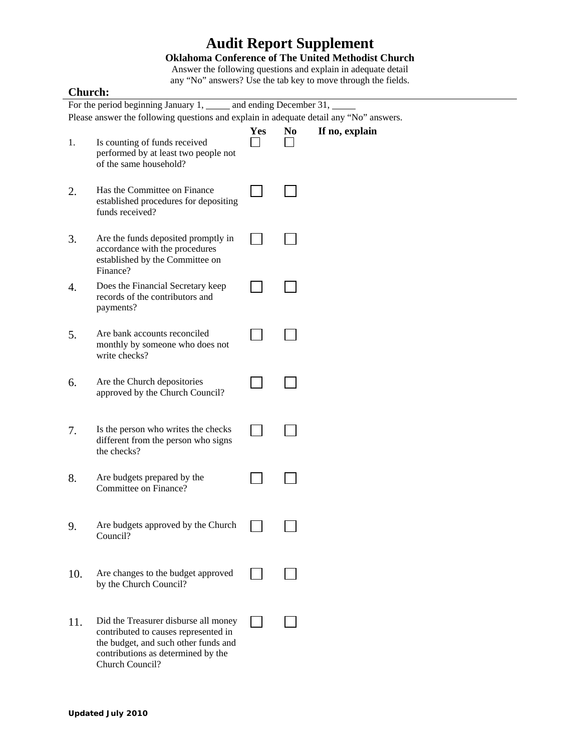## **Audit Report Supplement**

## **Oklahoma Conference of The United Methodist Church**

Answer the following questions and explain in adequate detail any "No" answers? Use the tab key to move through the fields.

## **Church:**

| For the period beginning January 1, ______ and ending December 31,                     |                                                                                                                                                                               |     |                |                |  |  |  |
|----------------------------------------------------------------------------------------|-------------------------------------------------------------------------------------------------------------------------------------------------------------------------------|-----|----------------|----------------|--|--|--|
| Please answer the following questions and explain in adequate detail any "No" answers. |                                                                                                                                                                               |     |                |                |  |  |  |
| 1.                                                                                     | Is counting of funds received<br>performed by at least two people not<br>of the same household?                                                                               | Yes | N <sub>0</sub> | If no, explain |  |  |  |
| 2.                                                                                     | Has the Committee on Finance<br>established procedures for depositing<br>funds received?                                                                                      |     |                |                |  |  |  |
| 3.                                                                                     | Are the funds deposited promptly in<br>accordance with the procedures<br>established by the Committee on<br>Finance?                                                          |     |                |                |  |  |  |
| 4.                                                                                     | Does the Financial Secretary keep<br>records of the contributors and<br>payments?                                                                                             |     |                |                |  |  |  |
| 5.                                                                                     | Are bank accounts reconciled<br>monthly by someone who does not<br>write checks?                                                                                              |     |                |                |  |  |  |
| 6.                                                                                     | Are the Church depositories<br>approved by the Church Council?                                                                                                                |     |                |                |  |  |  |
| 7.                                                                                     | Is the person who writes the checks<br>different from the person who signs<br>the checks?                                                                                     |     |                |                |  |  |  |
| 8.                                                                                     | Are budgets prepared by the<br>Committee on Finance?                                                                                                                          |     |                |                |  |  |  |
| 9.                                                                                     | Are budgets approved by the Church<br>Council?                                                                                                                                |     |                |                |  |  |  |
| 10.                                                                                    | Are changes to the budget approved<br>by the Church Council?                                                                                                                  |     |                |                |  |  |  |
| 11.                                                                                    | Did the Treasurer disburse all money<br>contributed to causes represented in<br>the budget, and such other funds and<br>contributions as determined by the<br>Church Council? |     |                |                |  |  |  |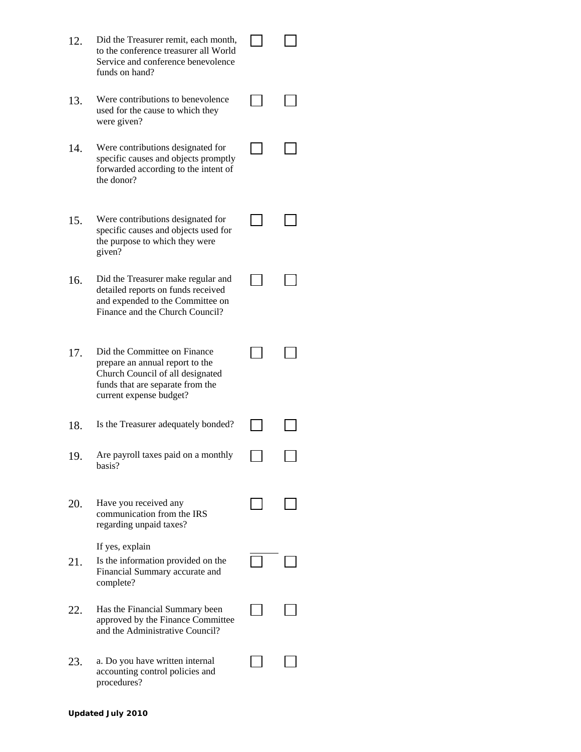| 12. | Did the Treasurer remit, each month,<br>to the conference treasurer all World<br>Service and conference benevolence<br>funds on hand?                              |  |
|-----|--------------------------------------------------------------------------------------------------------------------------------------------------------------------|--|
| 13. | Were contributions to benevolence<br>used for the cause to which they<br>were given?                                                                               |  |
| 14. | Were contributions designated for<br>specific causes and objects promptly<br>forwarded according to the intent of<br>the donor?                                    |  |
| 15. | Were contributions designated for<br>specific causes and objects used for<br>the purpose to which they were<br>given?                                              |  |
| 16. | Did the Treasurer make regular and<br>detailed reports on funds received<br>and expended to the Committee on<br>Finance and the Church Council?                    |  |
| 17. | Did the Committee on Finance<br>prepare an annual report to the<br>Church Council of all designated<br>funds that are separate from the<br>current expense budget? |  |
| 18. | Is the Treasurer adequately bonded?                                                                                                                                |  |
| 19  | Are payroll taxes paid on a monthly<br>basis?                                                                                                                      |  |
| 20. | Have you received any<br>communication from the IRS<br>regarding unpaid taxes?                                                                                     |  |
| 21. | If yes, explain<br>Is the information provided on the<br>Financial Summary accurate and<br>complete?                                                               |  |
| 22. | Has the Financial Summary been<br>approved by the Finance Committee<br>and the Administrative Council?                                                             |  |
| 23. | a. Do you have written internal<br>accounting control policies and<br>procedures?                                                                                  |  |